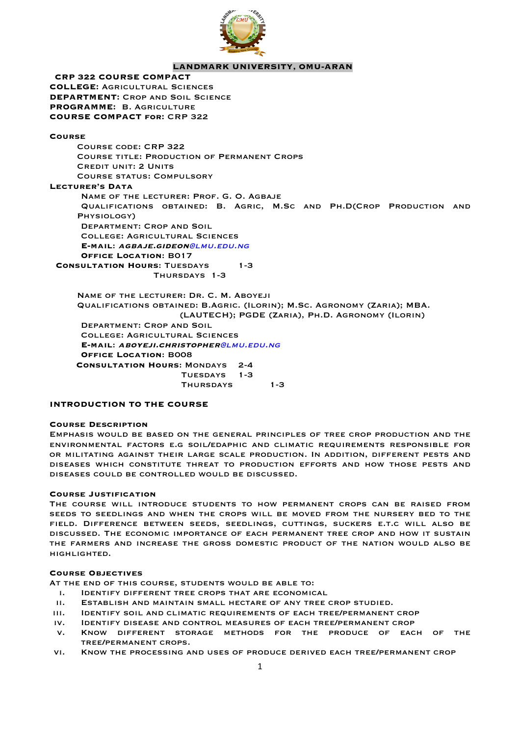

## **LANDMARK UNIVERSITY, OMU-ARAN**

**CRP 322 COURSE COMPACT COLLEGE:** Agricultural Sciences **DEPARTMENT: CROP AND SOIL SCIENCE PROGRAMME:** B. Agriculture **COURSE COMPACT for:** CRP 322 **Course** Course code: CRP 322 Course title: Production of Permanent Crops CREDIT UNIT: 2 UNITS Course status: Compulsory **Lecturer's Data** Name of the lecturer: Prof. G. O. Agbaje Qualifications obtained: B. Agric, M.Sc and Ph.D(Crop Production and Physiology) Department: Crop and Soil College: Agricultural Sciences **E-mail**: **agbaje.gideon**@lmu.edu.ng **Office Location**: B017 **CONSULTATION HOURS: TUESDAYS** 1-3 Thursdays 1-3 Name of the lecturer: Dr. C. M. Aboyeji Qualifications obtained: B.Agric. (Ilorin); M.Sc. Agronomy (Zaria); MBA. (LAUTECH); PGDE (Zaria), Ph.D. Agronomy (Ilorin) Department: Crop and Soil College: Agricultural Sciences **E-mail**: **aboyeji.christopher**@lmu.edu.ng **Office Location**: B008  **Consultation Hours**: Mondays 2-4 Tuesdays 1-3 Thursdays 1-3

#### **INTRODUCTION TO THE COURSE**

#### **Course Description**

Emphasis would be based on the general principles of tree crop production and the environmental factors e.g soil/edaphic and climatic requirements responsible for or militating against their large scale production. In addition, different pests and diseases which constitute threat to production efforts and how those pests and diseases could be controlled would be discussed.

#### **Course Justification**

The course will introduce students to how permanent crops can be raised from seeds to seedlings and when the crops will be moved from the nursery bed to the field. Difference between seeds, seedlings, cuttings, suckers e.t.c will also be discussed. The economic importance of each permanent tree crop and how it sustain the farmers and increase the gross domestic product of the nation would also be highlighted.

#### **Course Objectives**

At the end of this course, students would be able to:

- i. Identify different tree crops that are economical
- ii. Establish and maintain small hectare of any tree crop studied.
- iii. Identify soil and climatic requirements of each tree/permanent crop
- iv. Identify disease and control measures of each tree/permanent crop
- v. Know different storage methods for the produce of each of the tree/permanent crops.
- vi. Know the processing and uses of produce derived each tree/permanent crop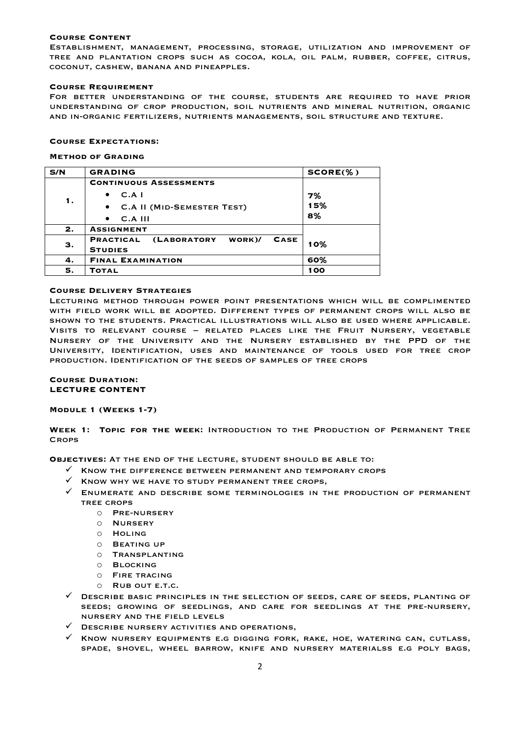#### **Course Content**

Establishment, management, processing, storage, utilization and improvement of tree and plantation crops such as cocoa, kola, oil palm, rubber, coffee, citrus, coconut, cashew, banana and pineapples.

#### **Course Requirement**

For better understanding of the course, students are required to have prior understanding of crop production, soil nutrients and mineral nutrition, organic and in-organic fertilizers, nutrients managements, soil structure and texture.

#### **Course Expectations:**

#### **Method of Grading**

| S/N | <b>GRADING</b>                                 | $SCORE(\% )$ |
|-----|------------------------------------------------|--------------|
| 1.  | <b>CONTINUOUS ASSESSMENTS</b>                  |              |
|     | C.A I<br>$\bullet$                             | 7%           |
|     | <b>C.A II (MID-SEMESTER TEST)</b><br>$\bullet$ | 15%          |
|     | $C.A$ III<br>$\bullet$                         | 8%           |
| 2.  | <b>ASSIGNMENT</b>                              |              |
| З.  | PRACTICAL (LABORATORY WORK)/<br><b>CASE</b>    | 10%          |
|     | <b>STUDIES</b>                                 |              |
| 4.  | <b>FINAL EXAMINATION</b>                       | 60%          |
| 5.  | <b>TOTAL</b>                                   | 100          |

#### **Course Delivery Strategies**

Lecturing method through power point presentations which will be complimented with field work will be adopted. Different types of permanent crops will also be shown to the students. Practical illustrations will also be used where applicable. Visits to relevant course – related places like the Fruit Nursery, vegetable Nursery of the University and the Nursery established by the PPD of the University, Identification, uses and maintenance of tools used for tree crop production. Identification of the seeds of samples of tree crops

#### **Course Duration: LECTURE CONTENT**

**Module 1 (Weeks 1-7)**

**Week 1: Topic for the week:** Introduction to the Production of Permanent Tree Crops

**Objectives:** At the end of the lecture, student should be able to:

- $\checkmark$  Know the difference between permanent and temporary crops
- KNOW WHY WE HAVE TO STUDY PERMANENT TREE CROPS,
- $\checkmark$  Enumerate and describe some terminologies in the production of permanent tree crops
	- o Pre-nursery
	- o Nursery
	- $O$  HOLING
	- o Beating up
	- o Transplanting
	- o Blocking
	- o Fire tracing
	- o Rub out e.t.c.
- $\checkmark$  Describe basic principles in the selection of seeds, care of seeds, planting of seeds; growing of seedlings, and care for seedlings at the pre-nursery, nursery and the field levels
- $\checkmark$  DESCRIBE NURSERY ACTIVITIES AND OPERATIONS,
- KNOW NURSERY EQUIPMENTS E.G DIGGING FORK, RAKE, HOE, WATERING CAN, CUTLASS, spade, shovel, wheel barrow, knife and nursery materialss e.g poly bags,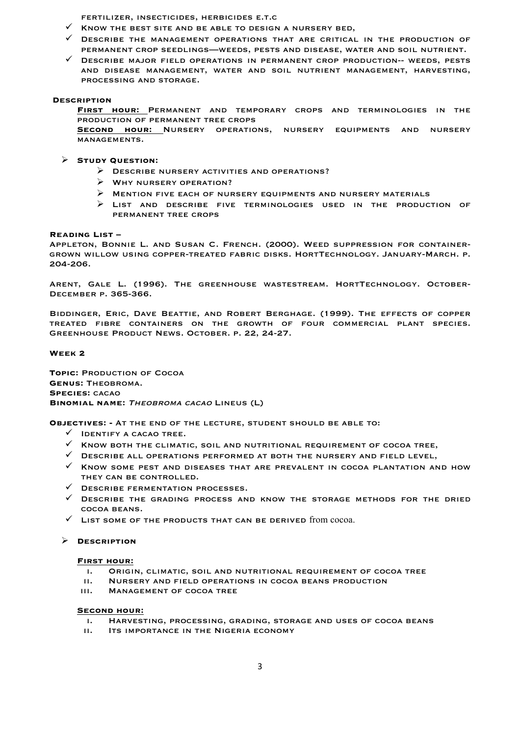fertilizer, insecticides, herbicides e.t.c

- $\checkmark$  KNOW THE BEST SITE AND BE ABLE TO DESIGN A NURSERY BED,
- $\checkmark$  Describe the management operations that are critical in the production of permanent crop seedlings—weeds, pests and disease, water and soil nutrient.
- $\checkmark$  Describe major field operations in permanent crop production-- weeds, pests and disease management, water and soil nutrient management, harvesting, processing and storage.

#### **Description**

**First hour:** Permanent and temporary crops and terminologies in the production of permanent tree crops

**Second hour:** Nursery operations, nursery equipments and nursery managements.

## Ø **Study Question:**

- $\triangleright$  DESCRIBE NURSERY ACTIVITIES AND OPERATIONS?
- $\triangleright$  WHY NURSERY OPERATION?
- $\triangleright$  Mention five each of nursery equipments and nursery materials
- $\triangleright$  List and describe five terminologies used in the production of permanent tree crops

#### **Reading List –**

Appleton, Bonnie L. and Susan C. French. (2000). Weed suppression for containergrown willow using copper-treated fabric disks. HortTechnology. January-March. p. 204-206.

Arent, Gale L. (1996). The greenhouse wastestream. HortTechnology. October-December p. 365-366.

Biddinger, Eric, Dave Beattie, and Robert Berghage. (1999). The effects of copper treated fibre containers on the growth of four commercial plant species. Greenhouse Product News. October. p. 22, 24-27.

#### **Week 2**

**TOPIC: PRODUCTION OF COCOA Genus:** Theobroma. **Species:** cacao **Binomial name:** Theobroma cacao Lineus (L)

**Objectives: -** At the end of the lecture, student should be able to:

- $V$  IDENTIFY A CACAO TREE.
- $\checkmark$  Know both the climatic, soil and nutritional requirement of cocoa tree,
- $V$  DESCRIBE ALL OPERATIONS PERFORMED AT BOTH THE NURSERY AND FIELD LEVEL,
- $\checkmark$  Know some pest and diseases that are prevalent in cocoa plantation and how they can be controlled.
- $\sqrt{ }$  DESCRIBE FERMENTATION PROCESSES.
- $\checkmark$  Describe the grading process and know the storage methods for the dried cocoa beans.
- LIST SOME OF THE PRODUCTS THAT CAN BE DERIVED from cocoa.

## Ø **Description**

#### **First hour:**

- i. Origin, climatic, soil and nutritional requirement of cocoa tree
- ii. Nursery and field operations in cocoa beans production
- iii. Management of cocoa tree

#### **Second hour:**

- i. Harvesting, processing, grading, storage and uses of cocoa beans
- ii. Its importance in the Nigeria economy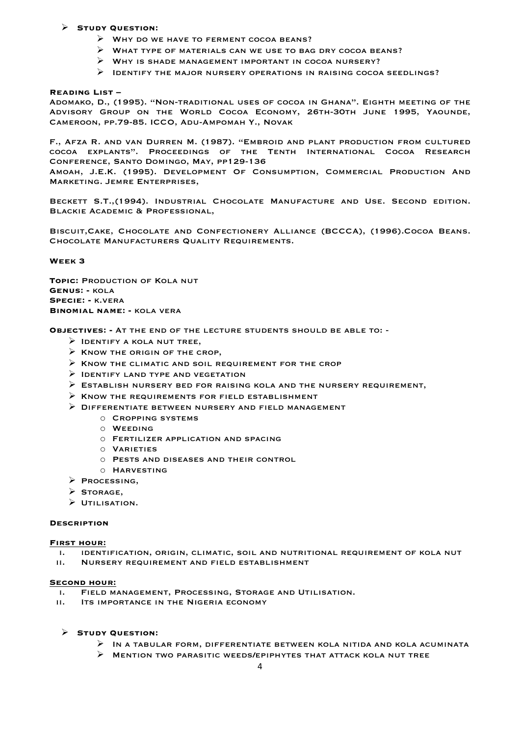# Ø **Study Question:**

- $\triangleright$  WHY DO WE HAVE TO FERMENT COCOA BEANS?
- $\triangleright$  WHAT TYPE OF MATERIALS CAN WE USE TO BAG DRY COCOA BEANS?
- $\triangleright$  WHY IS SHADE MANAGEMENT IMPORTANT IN COCOA NURSERY?
- $\triangleright$  IDENTIFY THE MAJOR NURSERY OPERATIONS IN RAISING COCOA SEEDLINGS?

**Reading List –**

Adomako, D., (1995). "Non-traditional uses of cocoa in Ghana". Eighth meeting of the Advisory Group on the World Cocoa Economy, 26th-30th June 1995, Yaounde, Cameroon, pp.79-85. ICCO, Adu-Ampomah Y., Novak

F., Afza R. and van Durren M. (1987). "Embroid and plant production from cultured cocoa explants". Proceedings of the Tenth International Cocoa Research Conference, Santo Domingo, May, pp129-136

Amoah, J.E.K. (1995). Development Of Consumption, Commercial Production And Marketing. Jemre Enterprises,

Beckett S.T.,(1994). Industrial Chocolate Manufacture and Use. Second edition. Blackie Academic & Professional,

Biscuit,Cake, Chocolate and Confectionery Alliance (BCCCA), (1996).Cocoa Beans. Chocolate Manufacturers Quality Requirements.

#### **Week 3**

**Topic: PRODUCTION OF KOLA NUT Genus: -** kola **Specie: -** k.vera **Binomial name: -** kola vera

**Objectives: -** At the end of the lecture students should be able to: -

- $\triangleright$  IDENTIFY A KOLA NUT TREE.
- $\triangleright$  KNOW THE ORIGIN OF THE CROP,
- $\triangleright$  KNOW THE CLIMATIC AND SOIL REQUIREMENT FOR THE CROP
- $\triangleright$  IDENTIFY LAND TYPE AND VEGETATION
- $\triangleright$  Establish nursery bed for raising kola and the nursery requirement,
- $\triangleright$  Know the requirements for field establishment
- $\triangleright$  DIFFERENTIATE BETWEEN NURSERY AND FIELD MANAGEMENT
	- o Cropping systems
	- o Weeding
	- o Fertilizer application and spacing
	- o Varieties
	- o Pests and diseases and their control
	- o Harvesting
- Ø Processing,
- $\triangleright$  STORAGE.
- $\triangleright$  Utilisation.

#### **Description**

#### **First hour:**

- i. identification, origin, climatic, soil and nutritional requirement of kola nut
- ii. Nursery requirement and field establishment

#### **Second hour:**

- i. Field management, Processing, Storage and Utilisation.
- ii. Its importance in the Nigeria economy
- Ø **Study Question:** 
	- $\triangleright$  In a tabular form, differentiate between kola nitida and kola acuminata
	- $\triangleright$  MENTION TWO PARASITIC WEEDS/EPIPHYTES THAT ATTACK KOLA NUT TREE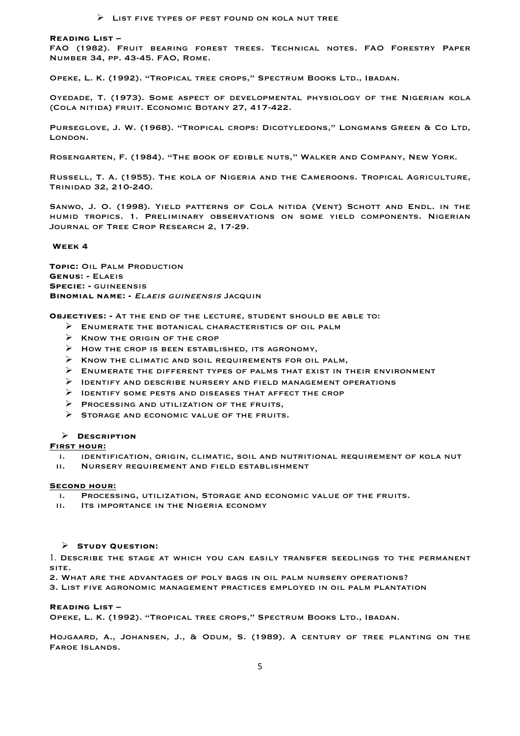## $\triangleright$  LIST FIVE TYPES OF PEST FOUND ON KOLA NUT TREE

#### **Reading List –**

FAO (1982). Fruit bearing forest trees. Technical notes. FAO Forestry Paper Number 34, pp. 43-45. FAO, Rome.

Opeke, L. K. (1992). "Tropical tree crops," Spectrum Books Ltd., Ibadan.

Oyedade, T. (1973). Some aspect of developmental physiology of the Nigerian kola (Cola nitida) fruit. Economic Botany 27, 417-422.

PURSEGLOVE, J. W. (1968). "TROPICAL CROPS: DICOTYLEDONS," LONGMANS GREEN & CO LTD, LONDON.

Rosengarten, F. (1984). "The book of edible nuts," Walker and Company, New York.

Russell, T. A. (1955). The kola of Nigeria and the Cameroons. Tropical Agriculture, Trinidad 32, 210-240.

Sanwo, J. O. (1998). Yield patterns of Cola nitida (Vent) Schott and Endl. in the humid tropics. 1. Preliminary observations on some yield components. Nigerian JOURNAL OF TREE CROP RESEARCH 2, 17-29.

#### **Week 4**

**Topic:** Oil Palm Production **Genus: -** Elaeis **Specie: -** guineensis **BINOMIAL NAME: - ELAEIS GUINEENSIS JACQUIN** 

**Objectives: -** At the end of the lecture, student should be able to:

- $\triangleright$  ENUMERATE THE BOTANICAL CHARACTERISTICS OF OIL PALM
- $\triangleright$  KNOW THE ORIGIN OF THE CROP
- $\triangleright$  How the crop is been established, its agronomy,
- $\triangleright$  KNOW THE CLIMATIC AND SOIL REQUIREMENTS FOR OIL PALM,
- $\triangleright$  ENUMERATE THE DIFFERENT TYPES OF PALMS THAT EXIST IN THEIR ENVIRONMENT
- $\triangleright$  IDENTIFY AND DESCRIBE NURSERY AND FIELD MANAGEMENT OPERATIONS
- $\triangleright$  IDENTIFY SOME PESTS AND DISEASES THAT AFFECT THE CROP
- $\triangleright$  PROCESSING AND UTILIZATION OF THE FRUITS,
- $\triangleright$  STORAGE AND ECONOMIC VALUE OF THE FRUITS.

## Ø **Description**

#### **First hour:**

- i. identification, origin, climatic, soil and nutritional requirement of kola nut
- ii. Nursery requirement and field establishment

#### **Second hour:**

- i. Processing, utilization, Storage and economic value of the fruits.
- ii. Its importance in the Nigeria economy

#### Ø **Study Question:**

1. Describe the stage at which you can easily transfer seedlings to the permanent site.

2. What are the advantages of poly bags in oil palm nursery operations?

3. List five agronomic management practices employed in oil palm plantation

#### **Reading List –**

Opeke, L. K. (1992). "Tropical tree crops," Spectrum Books Ltd., Ibadan.

Hojgaard, A., Johansen, J., & Odum, S. (1989). A century of tree planting on the Faroe Islands.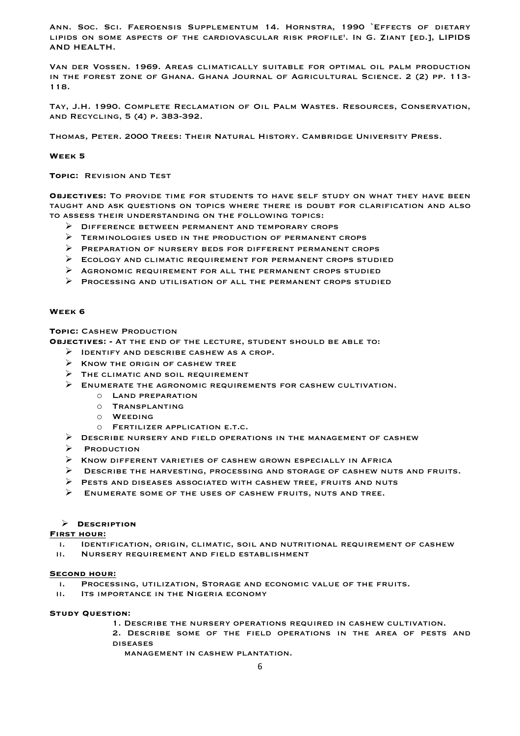Ann. Soc. Sci. Faeroensis Supplementum 14. Hornstra, 1990 `Effects of dietary lipids on some aspects of the cardiovascular risk profile'. In G. Ziant [ed.], LIPIDS AND HEALTH.

Van der Vossen. 1969. Areas climatically suitable for optimal oil palm production in the forest zone of Ghana. Ghana Journal of Agricultural Science. 2 (2) pp. 113- 118.

Tay, J.H. 1990. Complete Reclamation of Oil Palm Wastes. Resources, Conservation, and Recycling, 5 (4) p. 383-392.

Thomas, Peter. 2000 Trees: Their Natural History. Cambridge University Press.

## **Week 5**

**Topic:** Revision and Test

**Objectives:** To provide time for students to have self study on what they have been taught and ask questions on topics where there is doubt for clarification and also to assess their understanding on the following topics:

- $\triangleright$  DIFFERENCE BETWEEN PERMANENT AND TEMPORARY CROPS
- $\triangleright$  TERMINOLOGIES USED IN THE PRODUCTION OF PERMANENT CROPS
- Ø Preparation of nursery beds for different permanent crops
- $\triangleright$  ECOLOGY AND CLIMATIC REQUIREMENT FOR PERMANENT CROPS STUDIED
- $\triangleright$  Agronomic requirement for all the permanent crops studied
- $\triangleright$  Processing and utilisation of all the permanent crops studied

## **Week 6**

## **TOPIC: CASHEW PRODUCTION**

**Objectives: -** At the end of the lecture, student should be able to:

- $\triangleright$  IDENTIFY AND DESCRIBE CASHEW AS A CROP.
- $\triangleright$  KNOW THE ORIGIN OF CASHEW TREE
- $\triangleright$  THE CLIMATIC AND SOIL REQUIREMENT
- $\triangleright$  ENUMERATE THE AGRONOMIC REQUIREMENTS FOR CASHEW CULTIVATION.
	- o Land preparation
	- o Transplanting
	- o Weeding
	- o Fertilizer application e.t.c.
- $\triangleright$  DESCRIBE NURSERY AND FIELD OPERATIONS IN THE MANAGEMENT OF CASHEW
- $\triangleright$  Production
- $\triangleright$  Know different varieties of cashew grown especially in Africa
- $\triangleright$  DESCRIBE THE HARVESTING, PROCESSING AND STORAGE OF CASHEW NUTS AND FRUITS.
- $\triangleright$  PESTS AND DISEASES ASSOCIATED WITH CASHEW TREE, FRUITS AND NUTS
- $\triangleright$  ENUMERATE SOME OF THE USES OF CASHEW FRUITS, NUTS AND TREE.

## Ø **Description**

## **First hour:**

- i. Identification, origin, climatic, soil and nutritional requirement of cashew
- ii. Nursery requirement and field establishment

## **Second hour:**

- i. Processing, utilization, Storage and economic value of the fruits.
- ii. Its importance in the Nigeria economy

## **Study Question:**

- 1. Describe the nursery operations required in cashew cultivation.
- 2. Describe some of the field operations in the area of pests and diseases
	- management in cashew plantation.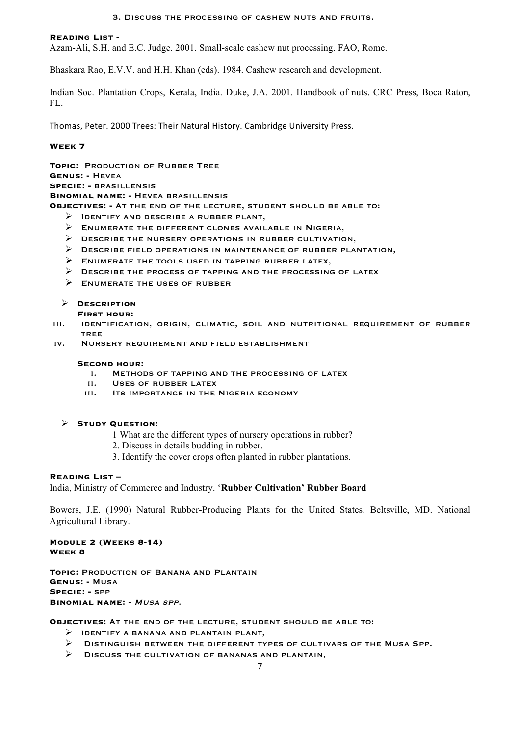## 3. Discuss the processing of cashew nuts and fruits.

## **Reading List -**

Azam-Ali, S.H. and E.C. Judge. 2001. Small-scale cashew nut processing. FAO, Rome.

Bhaskara Rao, E.V.V. and H.H. Khan (eds). 1984. Cashew research and development.

Indian Soc. Plantation Crops, Kerala, India. Duke, J.A. 2001. Handbook of nuts. CRC Press, Boca Raton, FL.

Thomas, Peter. 2000 Trees: Their Natural History. Cambridge University Press.

## **Week 7**

**TOPIC: PRODUCTION OF RUBBER TREE Genus: -** Hevea **Specie: -** brasillensis **Binomial name: -** Hevea brasillensis **Objectives: -** At the end of the lecture, student should be able to:  $\triangleright$  IDENTIFY AND DESCRIBE A RUBBER PLANT,

- $\triangleright$  ENUMERATE THE DIFFERENT CLONES AVAILABLE IN NIGERIA,
- $\triangleright$  DESCRIBE THE NURSERY OPERATIONS IN RUBBER CULTIVATION,
- $\triangleright$  DESCRIBE FIELD OPERATIONS IN MAINTENANCE OF RUBBER PLANTATION,
- $\triangleright$  ENUMERATE THE TOOLS USED IN TAPPING RUBBER LATEX,
- $\triangleright$  DESCRIBE THE PROCESS OF TAPPING AND THE PROCESSING OF LATEX
- $\triangleright$  ENUMERATE THE USES OF RUBBER

# Ø **Description**

#### **First hour:**

- iii. identification, origin, climatic, soil and nutritional requirement of rubber **TREE**
- iv. Nursery requirement and field establishment

## **Second hour:**

- i. Methods of tapping and the processing of latex
- ii. Uses of rubber latex
- iii. Its importance in the Nigeria economy

## Ø **Study Question:**

- 1 What are the different types of nursery operations in rubber?
- 2. Discuss in details budding in rubber.
- 3. Identify the cover crops often planted in rubber plantations.

## **Reading List –**

India, Ministry of Commerce and Industry. '**Rubber Cultivation' Rubber Board**

Bowers, J.E. (1990) Natural Rubber-Producing Plants for the United States. Beltsville, MD. National Agricultural Library.

**Module 2 (Weeks 8-14) Week 8**

**TOPIC: PRODUCTION OF BANANA AND PLANTAIN Genus: -** Musa **Specie: -** spp **Binomial name: -** Musa spp.

## **Objectives:** At the end of the lecture, student should be able to:

- $\triangleright$  IDENTIFY A BANANA AND PLANTAIN PLANT,
- $\triangleright$  Distinguish between the different types of cultivars of the Musa Spp.
- $\triangleright$  Discuss the cultivation of BANANAS AND PLANTAIN,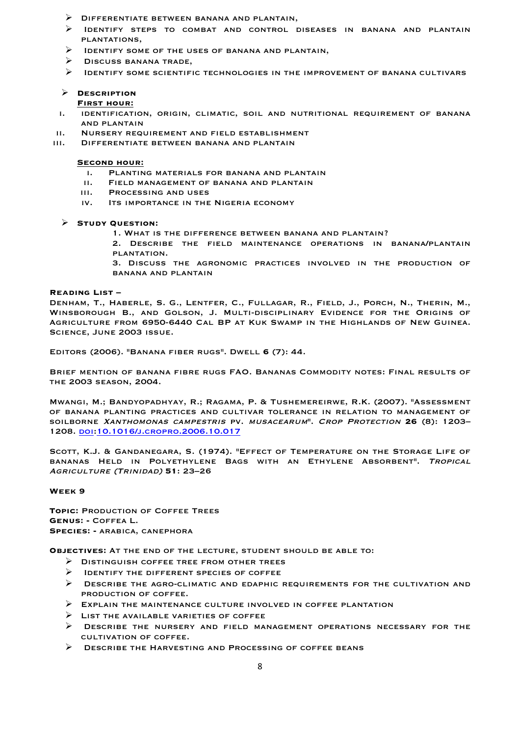- $\triangleright$  DIFFERENTIATE BETWEEN BANANA AND PLANTAIN,
- $\triangleright$  IDENTIFY STEPS TO COMBAT AND CONTROL DISEASES IN BANANA AND PLANTAIN plantations,
- $\triangleright$  IDENTIFY SOME OF THE USES OF BANANA AND PLANTAIN,
- $\triangleright$  DISCUSS BANANA TRADE,
- $\triangleright$  IDENTIFY SOME SCIENTIFIC TECHNOLOGIES IN THE IMPROVEMENT OF BANANA CULTIVARS

# Ø **Description**

## **First hour:**

- i. identification, origin, climatic, soil and nutritional requirement of banana and plantain
- ii. Nursery requirement and field establishment
- iii. Differentiate between banana and plantain

## **Second hour:**

- i. Planting materials for banana and plantain
- ii. Field management of banana and plantain
- iii. Processing and uses
- iv. Its importance in the Nigeria economy

## Ø **Study Question:**

- 1. What is the difference between banana and plantain?
- 2. Describe the field maintenance operations in banana/plantain plantation.
- 3. Discuss the agronomic practices involved in the production of banana and plantain

#### **Reading List –**

Denham, T., Haberle, S. G., Lentfer, C., Fullagar, R., Field, J., Porch, N., Therin, M., Winsborough B., and Golson, J. Multi-disciplinary Evidence for the Origins of Agriculture from 6950-6440 Cal BP at Kuk Swamp in the Highlands of New Guinea. Science, June 2003 issue.

Editors (2006). "Banana fiber rugs". Dwell **6** (7): 44.

Brief mention of banana fibre rugs FAO. Bananas Commodity notes: Final results of the 2003 season, 2004.

Mwangi, M.; Bandyopadhyay, R.; Ragama, P. & Tushemereirwe, R.K. (2007). "Assessment of banana planting practices and cultivar tolerance in relation to management of soilborne Xanthomonas campestris pv. musacearum". Crop Protection **26** (8): 1203– 1208. doi:10.1016/j.cropro.2006.10.017

Scott, K.J. & Gandanegara, S. (1974). "Effect of Temperature on the Storage Life of bananas Held in Polyethylene Bags with an Ethylene Absorbent". Tropical Agriculture (Trinidad) **51**: 23–26

## **Week 9**

**TOPIC: PRODUCTION OF COFFEE TREES Genus: -** Coffea L. **Species: -** arabica, canephora

**Objectives:** At the end of the lecture, student should be able to:

- $\triangleright$  DISTINGUISH COFFEE TREE FROM OTHER TREES
- $\triangleright$  IDENTIFY THE DIFFERENT SPECIES OF COFFEE
- $\triangleright$  DESCRIBE THE AGRO-CLIMATIC AND EDAPHIC REQUIREMENTS FOR THE CULTIVATION AND production of coffee.
- $\triangleright$  Explain the maintenance culture involved in coffee plantation
- $\triangleright$  LIST THE AVAILABLE VARIETIES OF COFFEE
- $\triangleright$  Describe the nursery and field management operations necessary for the cultivation of coffee.
- $\triangleright$  DESCRIBE THE HARVESTING AND PROCESSING OF COFFEE BEANS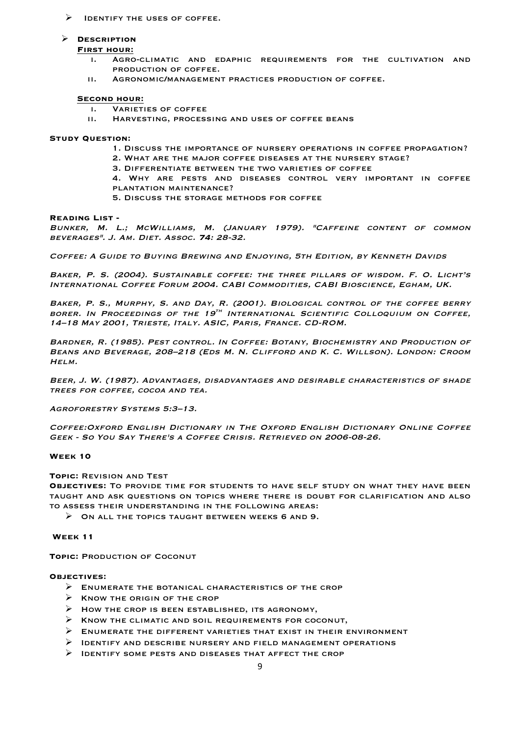$\triangleright$  IDENTIFY THE USES OF COFFEE.

# Ø **Description**

## **First hour:**

- i. Agro-climatic and edaphic requirements for the cultivation and production of coffee.
- ii. Agronomic/management practices production of coffee.

## **Second hour:**

- i. Varieties of coffee
- ii. Harvesting, processing and uses of coffee beans

### **Study Question:**

- 1. Discuss the importance of nursery operations in coffee propagation?
- 2. What are the major coffee diseases at the nursery stage?
- 3. Differentiate between the two varieties of coffee
- 4. Why are pests and diseases control very important in coffee plantation maintenance?
- 5. Discuss the storage methods for coffee

#### **Reading List -**

Bunker, M. L.; McWilliams, M. (January 1979). "Caffeine content of common beverages". J. Am. Diet. Assoc. **74**: 28-32.

Coffee: A Guide to Buying Brewing and Enjoying, 5th Edition, by Kenneth Davids

Baker, P. S. (2004). Sustainable coffee: the three pillars of wisdom. F. O. Licht's International Coffee Forum 2004. CABI Commodities, CABI Bioscience, Egham, UK.

Baker, P. S., Murphy, S. and Day, R. (2001). Biological control of the coffee berry borer. In Proceedings of the  $19^{th}$  International Scientific Colloquium on Coffee, 14–18 May 2001, Trieste, Italy. ASIC, Paris, France. CD-ROM.

Bardner, R. (1985). Pest control. In Coffee: Botany, Biochemistry and Production of Beans and Beverage, 208–218 (Eds M. N. Clifford and K. C. Willson). London: Croom Helm.

Beer, J. W. (1987). Advantages, disadvantages and desirable characteristics of shade trees for coffee, cocoa and tea.

Agroforestry Systems 5:3–13.

Coffee:Oxford English Dictionary in The Oxford English Dictionary Online Coffee Geek - So You Say There's a Coffee Crisis. Retrieved on 2006-08-26.

## **Week 10**

**Topic:** Revision and Test

**Objectives:** To provide time for students to have self study on what they have been taught and ask questions on topics where there is doubt for clarification and also to assess their understanding in the following areas:

 $\triangleright$  ON ALL THE TOPICS TAUGHT BETWEEN WEEKS 6 AND 9.

## **Week 11**

**Topic: PRODUCTION OF COCONUT** 

#### **Objectives:**

- Ø Enumerate the botanical characteristics of the crop
- $\triangleright$  KNOW THE ORIGIN OF THE CROP
- $\triangleright$  How the crop is been established, its agronomy,
- $\triangleright$  KNOW THE CLIMATIC AND SOIL REQUIREMENTS FOR COCONUT,
- $\triangleright$  ENUMERATE THE DIFFERENT VARIETIES THAT EXIST IN THEIR ENVIRONMENT
- IDENTIFY AND DESCRIBE NURSERY AND FIELD MANAGEMENT OPERATIONS
- $\triangleright$  IDENTIFY SOME PESTS AND DISEASES THAT AFFECT THE CROP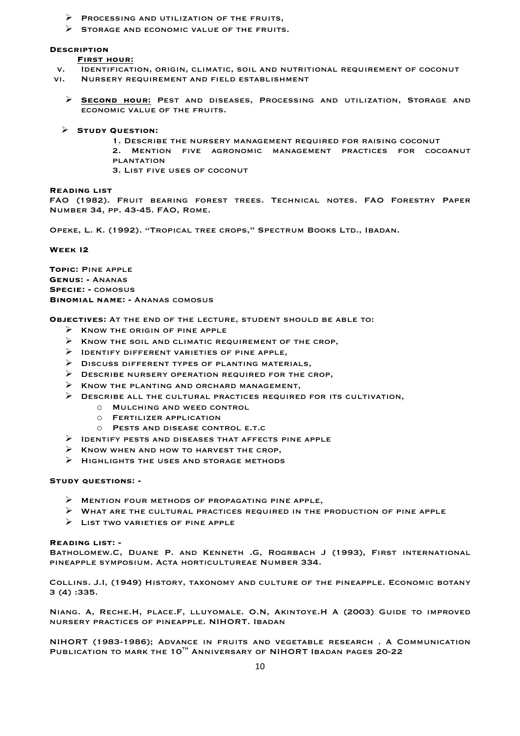- $\triangleright$  Processing and utilization of the fruits,
- $\triangleright$  STORAGE AND ECONOMIC VALUE OF THE FRUITS.

#### **Description**

#### **First hour:**

- v. Identification, origin, climatic, soil and nutritional requirement of coconut
- vi. Nursery requirement and field establishment
	- Ø **Second hour:** Pest and diseases, Processing and utilization, Storage and economic value of the fruits.
	- Ø **Study Question:** 
		- 1. Describe the nursery management required for raising coconut
		- 2. Mention five agronomic management practices for cocoanut plantation
		- 3. List five uses of coconut

**Reading list**  FAO (1982). Fruit bearing forest trees. Technical notes. FAO Forestry Paper Number 34, pp. 43-45. FAO, Rome.

Opeke, L. K. (1992). "Tropical tree crops," Spectrum Books Ltd., Ibadan.

**Week I2**

**Topic:** Pine apple **Genus: -** Ananas **Specie: -** comosus **Binomial name: -** Ananas comosus

**Objectives:** At the end of the lecture, student should be able to:

- $\triangleright$  KNOW THE ORIGIN OF PINE APPLE
- $\triangleright$  KNOW THE SOIL AND CLIMATIC REQUIREMENT OF THE CROP.
- $\triangleright$  IDENTIFY DIFFERENT VARIETIES OF PINE APPLE,
- $\triangleright$  Discuss different types of planting materials,
- $\triangleright$  DESCRIBE NURSERY OPERATION REQUIRED FOR THE CROP,
- $\triangleright$  KNOW THE PLANTING AND ORCHARD MANAGEMENT,
- $\triangleright$  DESCRIBE ALL THE CULTURAL PRACTICES REQUIRED FOR ITS CULTIVATION,
	- o Mulching and weed control
	- o Fertilizer application
	- o Pests and disease control e.t.c
- Ø Identify pests and diseases that affects pine apple
- $\triangleright$  KNOW WHEN AND HOW TO HARVEST THE CROP.
- HIGHLIGHTS THE USES AND STORAGE METHODS

#### **Study questions: -**

- $\triangleright$  MENTION FOUR METHODS OF PROPAGATING PINE APPLE,
- $\triangleright$  WHAT ARE THE CULTURAL PRACTICES REQUIRED IN THE PRODUCTION OF PINE APPLE
- $\triangleright$  LIST TWO VARIETIES OF PINE APPLE

#### **Reading list: -**

Batholomew.C, Duane P. and Kenneth .G, Rogrbach J (1993), First international pineapple symposium. Acta horticultureae Number 334.

Collins. J.I, (1949) History, taxonomy and culture of the pineapple. Economic botany 3 (4) :335.

Niang. A, Reche.H, place.F, lluyomale. O.N, Akintoye.H A (2003) Guide to improved nursery practices of pineapple. NIHORT. Ibadan

NIHORT (1983-1986); Advance in fruits and vegetable research . A Communication PUBLICATION TO MARK THE 10<sup>TH</sup> ANNIVERSARY OF NIHORT IBADAN PAGES 20-22